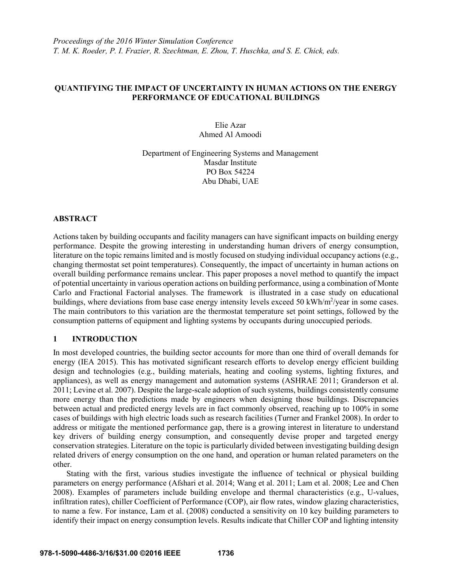# **QUANTIFYING THE IMPACT OF UNCERTAINTY IN HUMAN ACTIONS ON THE ENERGY PERFORMANCE OF EDUCATIONAL BUILDINGS**

## Elie Azar Ahmed Al Amoodi

Department of Engineering Systems and Management Masdar Institute PO Box 54224 Abu Dhabi, UAE

# **ABSTRACT**

Actions taken by building occupants and facility managers can have significant impacts on building energy performance. Despite the growing interesting in understanding human drivers of energy consumption, literature on the topic remains limited and is mostly focused on studying individual occupancy actions (e.g., changing thermostat set point temperatures). Consequently, the impact of uncertainty in human actions on overall building performance remains unclear. This paper proposes a novel method to quantify the impact of potential uncertainty in various operation actions on building performance, using a combination of Monte Carlo and Fractional Factorial analyses. The framework is illustrated in a case study on educational buildings, where deviations from base case energy intensity levels exceed 50 kWh/m<sup>2</sup>/year in some cases. The main contributors to this variation are the thermostat temperature set point settings, followed by the consumption patterns of equipment and lighting systems by occupants during unoccupied periods.

# **1 INTRODUCTION**

In most developed countries, the building sector accounts for more than one third of overall demands for energy (IEA 2015). This has motivated significant research efforts to develop energy efficient building design and technologies (e.g., building materials, heating and cooling systems, lighting fixtures, and appliances), as well as energy management and automation systems (ASHRAE 2011; Granderson et al. 2011; Levine et al. 2007). Despite the large-scale adoption of such systems, buildings consistently consume more energy than the predictions made by engineers when designing those buildings. Discrepancies between actual and predicted energy levels are in fact commonly observed, reaching up to 100% in some cases of buildings with high electric loads such as research facilities (Turner and Frankel 2008). In order to address or mitigate the mentioned performance gap, there is a growing interest in literature to understand key drivers of building energy consumption, and consequently devise proper and targeted energy conservation strategies. Literature on the topic is particularly divided between investigating building design related drivers of energy consumption on the one hand, and operation or human related parameters on the other.

Stating with the first, various studies investigate the influence of technical or physical building parameters on energy performance (Afshari et al. 2014; Wang et al. 2011; Lam et al. 2008; Lee and Chen 2008). Examples of parameters include building envelope and thermal characteristics (e.g., U-values, infiltration rates), chiller Coefficient of Performance (COP), air flow rates, window glazing characteristics, to name a few. For instance, Lam et al. (2008) conducted a sensitivity on 10 key building parameters to identify their impact on energy consumption levels. Results indicate that Chiller COP and lighting intensity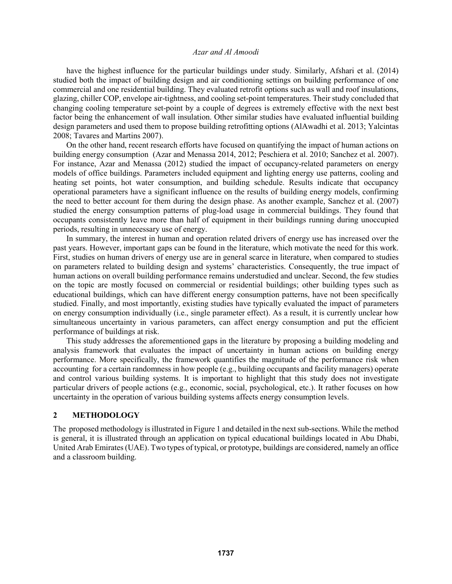have the highest influence for the particular buildings under study. Similarly, Afshari et al. (2014) studied both the impact of building design and air conditioning settings on building performance of one commercial and one residential building. They evaluated retrofit options such as wall and roof insulations, glazing, chiller COP, envelope air-tightness, and cooling set-point temperatures. Their study concluded that changing cooling temperature set-point by a couple of degrees is extremely effective with the next best factor being the enhancement of wall insulation. Other similar studies have evaluated influential building design parameters and used them to propose building retrofitting options (AlAwadhi et al. 2013; Yalcintas 2008; Tavares and Martins 2007).

On the other hand, recent research efforts have focused on quantifying the impact of human actions on building energy consumption (Azar and Menassa 2014, 2012; Peschiera et al. 2010; Sanchez et al. 2007). For instance, Azar and Menassa (2012) studied the impact of occupancy-related parameters on energy models of office buildings. Parameters included equipment and lighting energy use patterns, cooling and heating set points, hot water consumption, and building schedule. Results indicate that occupancy operational parameters have a significant influence on the results of building energy models, confirming the need to better account for them during the design phase. As another example, Sanchez et al. (2007) studied the energy consumption patterns of plug-load usage in commercial buildings. They found that occupants consistently leave more than half of equipment in their buildings running during unoccupied periods, resulting in unnecessary use of energy.

In summary, the interest in human and operation related drivers of energy use has increased over the past years. However, important gaps can be found in the literature, which motivate the need for this work. First, studies on human drivers of energy use are in general scarce in literature, when compared to studies on parameters related to building design and systems' characteristics. Consequently, the true impact of human actions on overall building performance remains understudied and unclear. Second, the few studies on the topic are mostly focused on commercial or residential buildings; other building types such as educational buildings, which can have different energy consumption patterns, have not been specifically studied. Finally, and most importantly, existing studies have typically evaluated the impact of parameters on energy consumption individually (i.e., single parameter effect). As a result, it is currently unclear how simultaneous uncertainty in various parameters, can affect energy consumption and put the efficient performance of buildings at risk.

This study addresses the aforementioned gaps in the literature by proposing a building modeling and analysis framework that evaluates the impact of uncertainty in human actions on building energy performance. More specifically, the framework quantifies the magnitude of the performance risk when accounting for a certain randomness in how people (e.g., building occupants and facility managers) operate and control various building systems. It is important to highlight that this study does not investigate particular drivers of people actions (e.g., economic, social, psychological, etc.). It rather focuses on how uncertainty in the operation of various building systems affects energy consumption levels.

# **2 METHODOLOGY**

The proposed methodology is illustrated in Figure 1 and detailed in the next sub-sections. While the method is general, it is illustrated through an application on typical educational buildings located in Abu Dhabi, United Arab Emirates (UAE). Two types of typical, or prototype, buildings are considered, namely an office and a classroom building.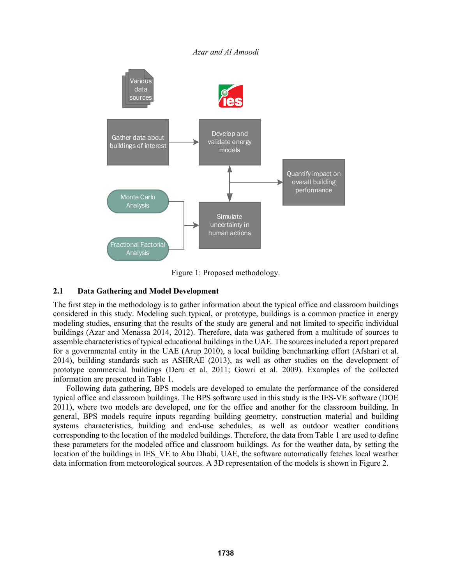

Figure 1: Proposed methodology.

# **2.1 Data Gathering and Model Development**

The first step in the methodology is to gather information about the typical office and classroom buildings considered in this study. Modeling such typical, or prototype, buildings is a common practice in energy modeling studies, ensuring that the results of the study are general and not limited to specific individual buildings (Azar and Menassa 2014, 2012). Therefore, data was gathered from a multitude of sources to assemble characteristics of typical educational buildings in the UAE. The sources included a report prepared for a governmental entity in the UAE (Arup 2010), a local building benchmarking effort (Afshari et al. 2014), building standards such as ASHRAE (2013), as well as other studies on the development of prototype commercial buildings (Deru et al. 2011; Gowri et al. 2009). Examples of the collected information are presented in Table 1.

Following data gathering, BPS models are developed to emulate the performance of the considered typical office and classroom buildings. The BPS software used in this study is the IES-VE software (DOE 2011), where two models are developed, one for the office and another for the classroom building. In general, BPS models require inputs regarding building geometry, construction material and building systems characteristics, building and end-use schedules, as well as outdoor weather conditions corresponding to the location of the modeled buildings. Therefore, the data from Table 1 are used to define these parameters for the modeled office and classroom buildings. As for the weather data, by setting the location of the buildings in IES\_VE to Abu Dhabi, UAE, the software automatically fetches local weather data information from meteorological sources. A 3D representation of the models is shown in Figure 2.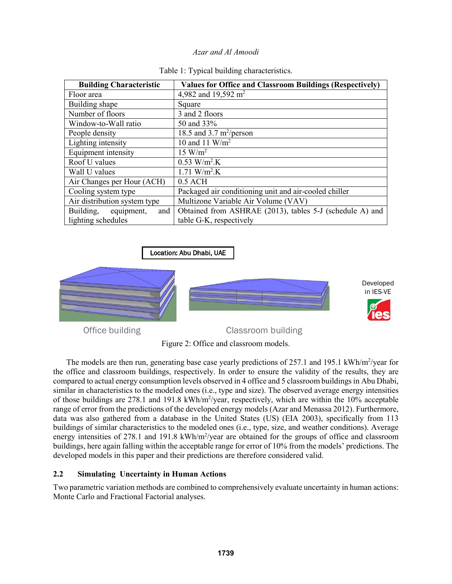| <b>Building Characteristic</b> | <b>Values for Office and Classroom Buildings (Respectively)</b> |
|--------------------------------|-----------------------------------------------------------------|
| Floor area                     | 4,982 and 19,592 m <sup>2</sup>                                 |
| Building shape                 | Square                                                          |
| Number of floors               | 3 and 2 floors                                                  |
| Window-to-Wall ratio           | 50 and 33%                                                      |
| People density                 | 18.5 and 3.7 $m^2$ /person                                      |
| Lighting intensity             | 10 and 11 $W/m2$                                                |
| Equipment intensity            | $15 \text{ W/m}^2$                                              |
| Roof U values                  | $0.53$ W/m <sup>2</sup> .K                                      |
| Wall U values                  | $1.71 \text{ W/m}^2 \text{ K}$                                  |
| Air Changes per Hour (ACH)     | $0.5$ ACH                                                       |
| Cooling system type            | Packaged air conditioning unit and air-cooled chiller           |
| Air distribution system type   | Multizone Variable Air Volume (VAV)                             |
| Building, equipment,<br>and    | Obtained from ASHRAE (2013), tables 5-J (schedule A) and        |
| lighting schedules             | table G-K, respectively                                         |



Table 1: Typical building characteristics.

Figure 2: Office and classroom models.

The models are then run, generating base case yearly predictions of 257.1 and 195.1 kWh/m<sup>2</sup>/year for the office and classroom buildings, respectively. In order to ensure the validity of the results, they are compared to actual energy consumption levels observed in 4 office and 5 classroom buildings in Abu Dhabi, similar in characteristics to the modeled ones (i.e., type and size). The observed average energy intensities of those buildings are 278.1 and 191.8 kWh/m<sup>2</sup>/year, respectively, which are within the 10% acceptable range of error from the predictions of the developed energy models (Azar and Menassa 2012). Furthermore, data was also gathered from a database in the United States (US) (EIA 2003), specifically from 113 buildings of similar characteristics to the modeled ones (i.e., type, size, and weather conditions). Average energy intensities of 278.1 and 191.8 kWh/m<sup>2</sup>/year are obtained for the groups of office and classroom buildings, here again falling within the acceptable range for error of 10% from the models' predictions. The developed models in this paper and their predictions are therefore considered valid.

# **2.2 Simulating Uncertainty in Human Actions**

Two parametric variation methods are combined to comprehensively evaluate uncertainty in human actions: Monte Carlo and Fractional Factorial analyses.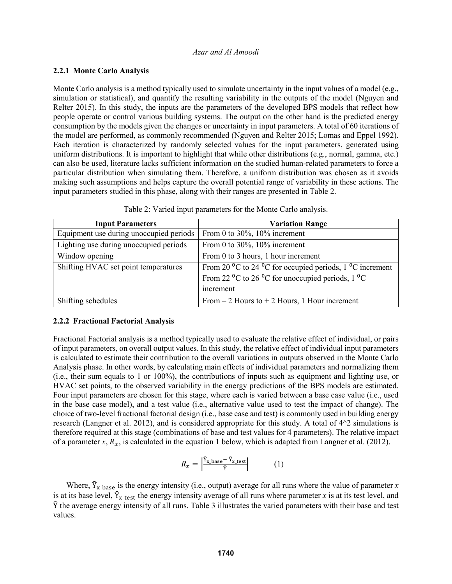# **2.2.1 Monte Carlo Analysis**

Monte Carlo analysis is a method typically used to simulate uncertainty in the input values of a model (e.g., simulation or statistical), and quantify the resulting variability in the outputs of the model (Nguyen and Relter 2015). In this study, the inputs are the parameters of the developed BPS models that reflect how people operate or control various building systems. The output on the other hand is the predicted energy consumption by the models given the changes or uncertainty in input parameters. A total of 60 iterations of the model are performed, as commonly recommended (Nguyen and Relter 2015; Lomas and Eppel 1992). Each iteration is characterized by randomly selected values for the input parameters, generated using uniform distributions. It is important to highlight that while other distributions (e.g., normal, gamma, etc.) can also be used, literature lacks sufficient information on the studied human-related parameters to force a particular distribution when simulating them. Therefore, a uniform distribution was chosen as it avoids making such assumptions and helps capture the overall potential range of variability in these actions. The input parameters studied in this phase, along with their ranges are presented in Table 2.

| <b>Input Parameters</b>                 | <b>Variation Range</b>                                                                 |  |
|-----------------------------------------|----------------------------------------------------------------------------------------|--|
| Equipment use during unoccupied periods | From 0 to $30\%$ , $10\%$ increment                                                    |  |
| Lighting use during unoccupied periods  | From 0 to $30\%$ , $10\%$ increment                                                    |  |
| Window opening                          | From 0 to 3 hours, 1 hour increment                                                    |  |
| Shifting HVAC set point temperatures    | From 20 $^{\circ}$ C to 24 $^{\circ}$ C for occupied periods, 1 $^{\circ}$ C increment |  |
|                                         | From 22 $\rm{^0C}$ to 26 $\rm{^0C}$ for unoccupied periods, 1 $\rm{^0C}$               |  |
|                                         | increment                                                                              |  |
| Shifting schedules                      | From $-2$ Hours to $+2$ Hours, 1 Hour increment                                        |  |

Table 2: Varied input parameters for the Monte Carlo analysis.

# **2.2.2 Fractional Factorial Analysis**

Fractional Factorial analysis is a method typically used to evaluate the relative effect of individual, or pairs of input parameters, on overall output values. In this study, the relative effect of individual input parameters is calculated to estimate their contribution to the overall variations in outputs observed in the Monte Carlo Analysis phase. In other words, by calculating main effects of individual parameters and normalizing them (i.e., their sum equals to 1 or 100%), the contributions of inputs such as equipment and lighting use, or HVAC set points, to the observed variability in the energy predictions of the BPS models are estimated. Four input parameters are chosen for this stage, where each is varied between a base case value (i.e., used in the base case model), and a test value (i.e., alternative value used to test the impact of change). The choice of two-level fractional factorial design (i.e., base case and test) is commonly used in building energy research (Langner et al. 2012), and is considered appropriate for this study. A total of  $4^{\wedge}2$  simulations is therefore required at this stage (combinations of base and test values for 4 parameters). The relative impact of a parameter *x*,  $R_x$ , is calculated in the equation 1 below, which is adapted from Langner et al. (2012).

$$
R_{x} = \left| \frac{\bar{Y}_{x\_base} - \bar{Y}_{x\_test}}{\bar{Y}} \right| \tag{1}
$$

Where,  $\bar{Y}_{x\_base}$  is the energy intensity (i.e., output) average for all runs where the value of parameter *x* is at its base level,  $\bar{Y}_{x\text{-test}}$  the energy intensity average of all runs where parameter *x* is at its test level, and Ȳ the average energy intensity of all runs. Table 3 illustrates the varied parameters with their base and test values.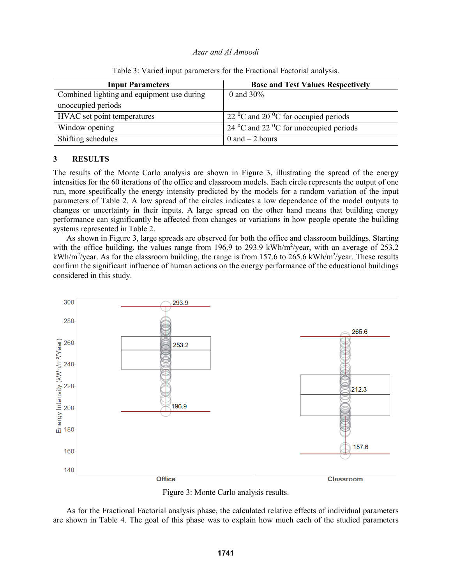| <b>Input Parameters</b>                    | <b>Base and Test Values Respectively</b>                     |  |
|--------------------------------------------|--------------------------------------------------------------|--|
| Combined lighting and equipment use during | 0 and $30\%$                                                 |  |
| unoccupied periods                         |                                                              |  |
| HVAC set point temperatures                | $220C$ and 20 <sup>0</sup> C for occupied periods            |  |
| Window opening                             | $24\,^{\circ}$ C and $22\,^{\circ}$ C for unoccupied periods |  |
| Shifting schedules                         | $0$ and $-2$ hours                                           |  |

Table 3: Varied input parameters for the Fractional Factorial analysis.

## **3 RESULTS**

The results of the Monte Carlo analysis are shown in Figure 3, illustrating the spread of the energy intensities for the 60 iterations of the office and classroom models. Each circle represents the output of one run, more specifically the energy intensity predicted by the models for a random variation of the input parameters of Table 2. A low spread of the circles indicates a low dependence of the model outputs to changes or uncertainty in their inputs. A large spread on the other hand means that building energy performance can significantly be affected from changes or variations in how people operate the building systems represented in Table 2.

As shown in Figure 3, large spreads are observed for both the office and classroom buildings. Starting with the office building, the values range from 196.9 to 293.9 kWh/m<sup>2</sup>/year, with an average of 253.2  $kWh/m^2$ /year. As for the classroom building, the range is from 157.6 to 265.6  $kWh/m^2$ /year. These results confirm the significant influence of human actions on the energy performance of the educational buildings considered in this study.



Figure 3: Monte Carlo analysis results.

As for the Fractional Factorial analysis phase, the calculated relative effects of individual parameters are shown in Table 4. The goal of this phase was to explain how much each of the studied parameters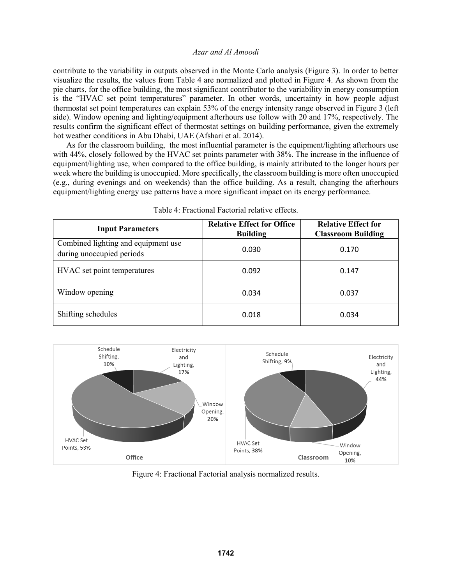contribute to the variability in outputs observed in the Monte Carlo analysis (Figure 3). In order to better visualize the results, the values from Table 4 are normalized and plotted in Figure 4. As shown from the pie charts, for the office building, the most significant contributor to the variability in energy consumption is the "HVAC set point temperatures" parameter. In other words, uncertainty in how people adjust thermostat set point temperatures can explain 53% of the energy intensity range observed in Figure 3 (left side). Window opening and lighting/equipment afterhours use follow with 20 and 17%, respectively. The results confirm the significant effect of thermostat settings on building performance, given the extremely hot weather conditions in Abu Dhabi, UAE (Afshari et al. 2014).

As for the classroom building, the most influential parameter is the equipment/lighting afterhours use with 44%, closely followed by the HVAC set points parameter with 38%. The increase in the influence of equipment/lighting use, when compared to the office building, is mainly attributed to the longer hours per week where the building is unoccupied. More specifically, the classroom building is more often unoccupied (e.g., during evenings and on weekends) than the office building. As a result, changing the afterhours equipment/lighting energy use patterns have a more significant impact on its energy performance.

| <b>Input Parameters</b>                                          | <b>Relative Effect for Office</b><br><b>Building</b> | <b>Relative Effect for</b><br><b>Classroom Building</b> |
|------------------------------------------------------------------|------------------------------------------------------|---------------------------------------------------------|
| Combined lighting and equipment use<br>during unoccupied periods | 0.030                                                | 0.170                                                   |
| HVAC set point temperatures                                      | 0.092                                                | 0.147                                                   |
| Window opening                                                   | 0.034                                                | 0.037                                                   |
| Shifting schedules                                               | 0.018                                                | 0.034                                                   |

Table 4: Fractional Factorial relative effects.



Figure 4: Fractional Factorial analysis normalized results.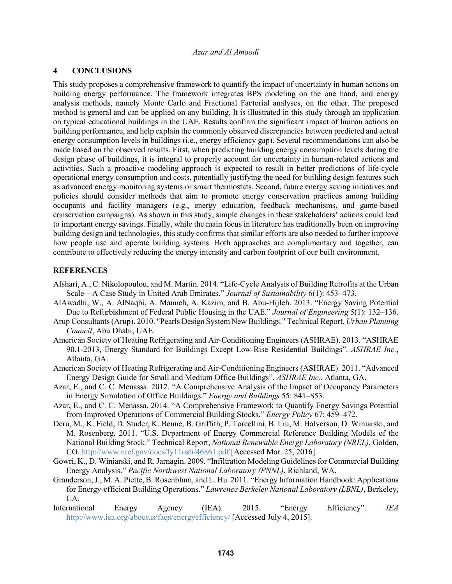# **4 CONCLUSIONS**

This study proposes a comprehensive framework to quantify the impact of uncertainty in human actions on building energy performance. The framework integrates BPS modeling on the one hand, and energy analysis methods, namely Monte Carlo and Fractional Factorial analyses, on the other. The proposed method is general and can be applied on any building. It is illustrated in this study through an application on typical educational buildings in the UAE. Results confirm the significant impact of human actions on building performance, and help explain the commonly observed discrepancies between predicted and actual energy consumption levels in buildings (i.e., energy efficiency gap). Several recommendations can also be made based on the observed results. First, when predicting building energy consumption levels during the design phase of buildings, it is integral to properly account for uncertainty in human-related actions and activities. Such a proactive modeling approach is expected to result in better predictions of life-cycle operational energy consumption and costs, potentially justifying the need for building design features such as advanced energy monitoring systems or smart thermostats. Second, future energy saving initiatives and policies should consider methods that aim to promote energy conservation practices among building occupants and facility managers (e.g., energy education, feedback mechanisms, and game-based conservation campaigns). As shown in this study, simple changes in these stakeholders' actions could lead to important energy savings. Finally, while the main focus in literature has traditionally been on improving building design and technologies, this study confirms that similar efforts are also needed to further improve how people use and operate building systems. Both approaches are complimentary and together, can contribute to effectively reducing the energy intensity and carbon footprint of our built environment.

## **REFERENCES**

- Afshari, A., C. Nikolopoulou, and M. Martin. 2014. "Life-Cycle Analysis of Building Retrofits at the Urban Scale—A Case Study in United Arab Emirates." *Journal of Sustainability* 6(1): 453–473.
- AlAwadhi, W., A. AlNaqbi, A. Manneh, A. Kazim, and B. Abu-Hijleh. 2013. "Energy Saving Potential Due to Refurbishment of Federal Public Housing in the UAE." *Journal of Engineering* 5(1): 132–136.
- Arup Consultants (Arup). 2010. "Pearls Design System New Buildings." Technical Report, *Urban Planning Council*, Abu Dhabi, UAE.
- American Society of Heating Refrigerating and Air-Conditioning Engineers (ASHRAE). 2013. "ASHRAE 90.1-2013, Energy Standard for Buildings Except Low-Rise Residential Buildings". *ASHRAE Inc.*, Atlanta, GA.
- American Society of Heating Refrigerating and Air-Conditioning Engineers (ASHRAE). 2011. "Advanced Energy Design Guide for Small and Medium Office Buildings". *ASHRAE Inc*., Atlanta, GA.
- Azar, E., and C. C. Menassa. 2012. "A Comprehensive Analysis of the Impact of Occupancy Parameters in Energy Simulation of Office Buildings." *Energy and Buildings* 55: 841–853.
- Azar, E., and C. C. Menassa. 2014. "A Comprehensive Framework to Quantify Energy Savings Potential from Improved Operations of Commercial Building Stocks." *Energy Policy* 67: 459–472.
- Deru, M., K. Field, D. Studer, K. Benne, B. Griffith, P. Torcellini, B. Liu, M. Halverson, D. Winiarski, and M. Rosenberg. 2011. "U.S. Department of Energy Commercial Reference Building Models of the National Building Stock." Technical Report, *National Renewable Energy Laboratory (NREL)*, Golden, CO. http://www.nrel.gov/docs/fy11osti/46861.pdf [Accessed Mar. 25, 2016].
- Gowri, K., D. Winiarski, and R. Jarnagin. 2009. "Infiltration Modeling Guidelines for Commercial Building Energy Analysis." *Pacific Northwest National Laboratory (PNNL)*, Richland, WA.
- Granderson, J., M. A. Piette, B. Rosenblum, and L. Hu. 2011. "Energy Information Handbook: Applications for Energy-efficient Building Operations." *Lawrence Berkeley National Laboratory (LBNL)*, Berkeley, CA.
- International Energy Agency (IEA). 2015. "Energy Efficiency". *IEA* http://www.iea.org/aboutus/faqs/energyefficiency/ [Accessed July 4, 2015].